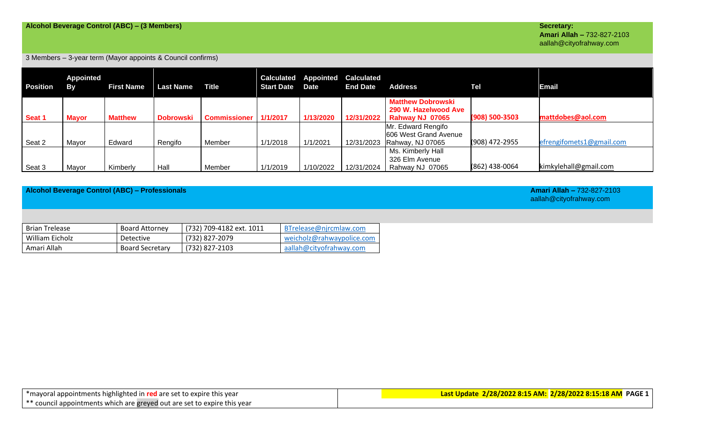### 3 Members – 3-year term (Mayor appoints & Council confirms)

| <b>Position</b> | <b>Appointed</b><br><b>By</b> | <b>First Name</b> | <b>Last Name</b> | <b>Title</b>        | <b>Start Date</b> | <b>Calculated Appointed</b><br>Date | <b>Calculated</b><br><b>End Date</b> | <b>Address</b>                                                      | <b>Tel</b>         | <b>Email</b>             |
|-----------------|-------------------------------|-------------------|------------------|---------------------|-------------------|-------------------------------------|--------------------------------------|---------------------------------------------------------------------|--------------------|--------------------------|
| Seat 1          | <b>Mayor</b>                  | <b>Matthew</b>    | <b>Dobrowski</b> | <b>Commissioner</b> | 1/1/2017          | 1/13/2020                           | 12/31/2022                           | <b>Matthew Dobrowski</b><br>290 W. Hazelwood Ave<br>Rahway NJ 07065 | $(908) 500 - 3503$ | mattdobes@aol.com        |
| Seat 2          | Mayor                         | Edward            | Rengifo          | Member              | 1/1/2018          | 1/1/2021                            | 12/31/2023                           | Mr. Edward Rengifo<br>606 West Grand Avenue<br>Rahway, NJ 07065     | (908) 472-2955     | efrengifomets1@gmail.com |
| Seat 3          | Mavor                         | Kimberly          | Hall             | Member              | 1/1/2019          | 1/10/2022                           | 12/31/2024                           | Ms. Kimberly Hall<br>326 Elm Avenue<br>Rahway NJ 07065              | (862) 438-0064     | kimkylehall@gmail.com    |

**Alcohol Beverage Control (ABC) – Professionals Amari Allah –** 732-827-2103

aallah@cityofrahway.com

| <b>Brian Trelease</b> | <b>Board Attorney</b>  | (732) 709-4182 ext. 1011 | BTrelease@njrcmlaw.com    |
|-----------------------|------------------------|--------------------------|---------------------------|
| William Eicholz       | Detective              | (732) 827-2079           | weicholz@rahwaypolice.com |
| Amari Allah           | <b>Board Secretary</b> | (732) 827-2103           | aallah@cityofrahway.com   |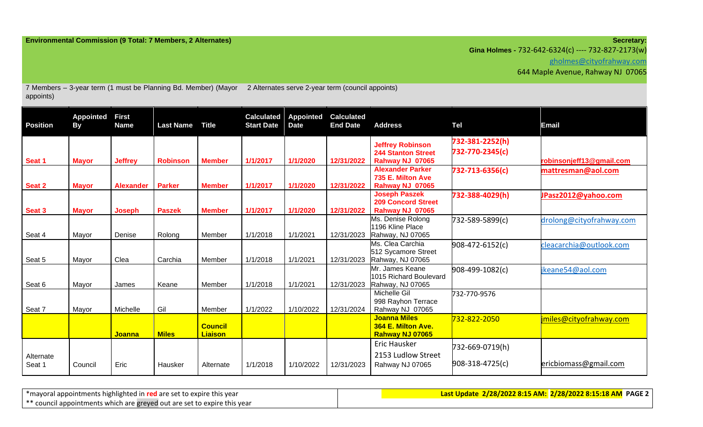**Gina Holmes -** 732-642-6324(c) ---- 732-827-2173(w)

[gholmes@cityofrahway.com](mailto:gholmes@cityofrahway.com)

644 Maple Avenue, Rahway NJ 07065

| appoints)           |                               |                             | 7 Members - 3-year term (1 must be Planning Bd. Member) (Mayor |                                  |                                        |                                 | 2 Alternates serve 2-year term (council appoints) |                                                                         |                                    |                          |
|---------------------|-------------------------------|-----------------------------|----------------------------------------------------------------|----------------------------------|----------------------------------------|---------------------------------|---------------------------------------------------|-------------------------------------------------------------------------|------------------------------------|--------------------------|
| <b>Position</b>     | <b>Appointed</b><br><b>By</b> | <b>First</b><br><b>Name</b> | <b>Last Name</b>                                               | <b>Title</b>                     | <b>Calculated</b><br><b>Start Date</b> | <b>Appointed</b><br><b>Date</b> | <b>Calculated</b><br><b>End Date</b>              | <b>Address</b>                                                          | <b>Tel</b>                         | Email                    |
| Seat 1              | <b>Mayor</b>                  | <b>Jeffrey</b>              | <b>Robinson</b>                                                | <b>Member</b>                    | 1/1/2017                               | 1/1/2020                        | 12/31/2022                                        | <b>Jeffrey Robinson</b><br><b>244 Stanton Street</b><br>Rahway NJ 07065 | 732-381-2252(h)<br>732-770-2345(c) | robinsonjeff13@gmail.com |
| Seat 2              | <b>Mayor</b>                  | <b>Alexander</b>            | <b>Parker</b>                                                  | <b>Member</b>                    | 1/1/2017                               | 1/1/2020                        | 12/31/2022                                        | <b>Alexander Parker</b><br>735 E. Milton Ave<br>Rahway NJ 07065         | 732-713-6356(c)                    | mattresman@aol.com       |
| Seat 3              | <b>Mayor</b>                  | <b>Joseph</b>               | <b>Paszek</b>                                                  | <b>Member</b>                    | 1/1/2017                               | 1/1/2020                        | 12/31/2022                                        | <b>Joseph Paszek</b><br><b>209 Concord Street</b><br>Rahway NJ 07065    | 732-388-4029(h)                    | JPasz2012@yahoo.com      |
| Seat 4              | Mayor                         | Denise                      | Rolong                                                         | Member                           | 1/1/2018                               | 1/1/2021                        | 12/31/2023                                        | Ms. Denise Rolong<br>1196 Kline Place<br>Rahway, NJ 07065               | 732-589-5899(c)                    | drolong@cityofrahway.com |
| Seat 5              | Mayor                         | Clea                        | Carchia                                                        | Member                           | 1/1/2018                               | 1/1/2021                        | 12/31/2023                                        | Ms. Clea Carchia<br>512 Sycamore Street<br>Rahway, NJ 07065             | 908-472-6152(c)                    | cleacarchia@outlook.com  |
| Seat 6              | Mayor                         | James                       | Keane                                                          | Member                           | 1/1/2018                               | 1/1/2021                        | 12/31/2023                                        | Mr. James Keane<br>1015 Richard Boulevard<br>Rahway, NJ 07065           | 908-499-1082(c)                    | keane54@aol.com          |
| Seat 7              | Mayor                         | Michelle                    | Gil                                                            | Member                           | 1/1/2022                               | 1/10/2022                       | 12/31/2024                                        | Michelle Gil<br>998 Rayhon Terrace<br>Rahway NJ 07065                   | 732-770-9576                       |                          |
|                     |                               | <b>Joanna</b>               | <b>Miles</b>                                                   | <b>Council</b><br><b>Liaison</b> |                                        |                                 |                                                   | <b>Joanna Miles</b><br>364 E. Milton Ave.<br>Rahway NJ 07065            | 732-822-2050                       | imiles@cityofrahway.com  |
| Alternate<br>Seat 1 | Council                       | Eric                        | Hausker                                                        | Alternate                        | 1/1/2018                               | 1/10/2022                       | 12/31/2023                                        | <b>Eric Hausker</b><br>2153 Ludlow Street<br>Rahway NJ 07065            | 732-669-0719(h)<br>908-318-4725(c) | ericbiomass@gmail.com    |

\*mayoral appointments highlighted in **red** are set to expire this year \*\* council appointments which are greyed out are set to expire this year **Last Update 2/28/2022 8:15 AM: 2/28/2022 8:15:18 AM PAGE 2**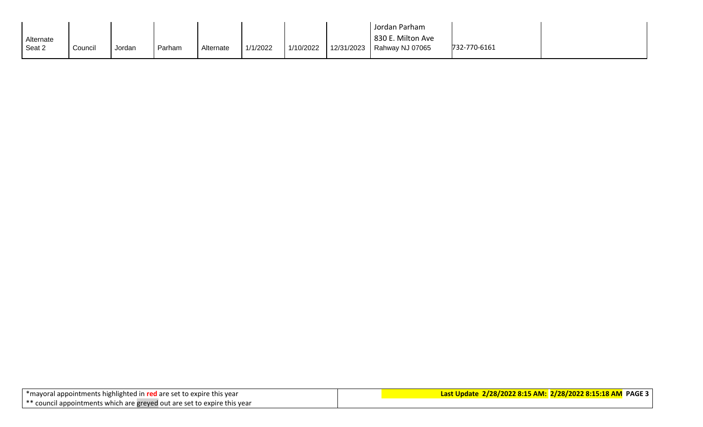|        |           |         |        |        |           |          |           |            | Jordan Parham     |              |  |
|--------|-----------|---------|--------|--------|-----------|----------|-----------|------------|-------------------|--------------|--|
|        | Alternate |         |        |        |           |          |           |            | 830 E. Milton Ave |              |  |
| Seat 2 |           | Council | Jordan | Parham | Alternate | 1/1/2022 | 1/10/2022 | 12/31/2023 | Rahway NJ 07065   | 732-770-6161 |  |
|        |           |         |        |        |           |          |           |            |                   |              |  |

| *mayoral appointments highlighted in red are set to expire this year |                                                                          |
|----------------------------------------------------------------------|--------------------------------------------------------------------------|
|                                                                      | ** council appointments which are greyed out are set to expire this year |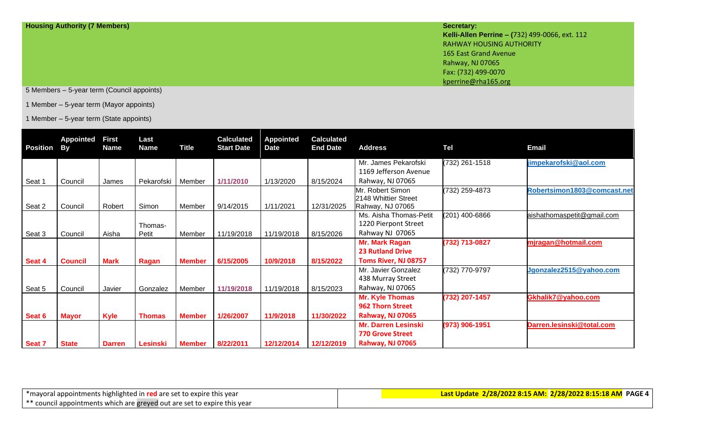| <b>Housing Authority (7 Members)</b> | Secretary:                                     |
|--------------------------------------|------------------------------------------------|
|                                      | Kelli-Allen Perrine - (732) 499-0066, ext. 112 |
|                                      | <b>RAHWAY HOUSING AUTHORITY</b>                |
|                                      | 165 East Grand Avenue                          |
|                                      | Rahway, NJ 07065                               |
|                                      | Fax: (732) 499-0070                            |
|                                      | kperrine@rha165.org                            |

5 Members – 5-year term (Council appoints)

1 Member – 5-year term (Mayor appoints)

1 Member – 5-year term (State appoints)

| <b>Position</b> | <b>Appointed</b><br><b>By</b> | <b>First</b><br><b>Name</b> | Last<br>Name  | <b>Title</b>  | <b>Calculated</b><br><b>Start Date</b> | <b>Appointed</b><br><b>Date</b> | <b>Calculated</b><br><b>End Date</b> | <b>Address</b>                                | <b>Tel</b>     | Email                       |
|-----------------|-------------------------------|-----------------------------|---------------|---------------|----------------------------------------|---------------------------------|--------------------------------------|-----------------------------------------------|----------------|-----------------------------|
|                 |                               |                             |               |               |                                        |                                 |                                      | Mr. James Pekarofski<br>1169 Jefferson Avenue | (732) 261-1518 | jimpekarofski@aol.com       |
| Seat 1          | Council                       | James                       | Pekarofski    | Member        | 1/11/2010                              | 1/13/2020                       | 8/15/2024                            | Rahway, NJ 07065                              |                |                             |
|                 |                               |                             |               |               |                                        |                                 |                                      | Mr. Robert Simon                              | (732) 259-4873 | Robertsimon1803@comcast.net |
| Seat 2          | Council                       | Robert                      | Simon         | Member        | 9/14/2015                              | 1/11/2021                       | 12/31/2025                           | 2148 Whittier Street<br>Rahway, NJ 07065      |                |                             |
|                 |                               |                             |               |               |                                        |                                 |                                      | Ms. Aisha Thomas-Petit                        | (201) 400-6866 | aishathomaspetit@gmail.com  |
|                 |                               |                             | Thomas-       |               |                                        |                                 |                                      | 1220 Pierpont Street                          |                |                             |
| Seat 3          | Council                       | Aisha                       | Petit         | Member        | 11/19/2018                             | 11/19/2018                      | 8/15/2026                            | Rahway NJ 07065                               |                |                             |
|                 |                               |                             |               |               |                                        |                                 |                                      | <b>Mr. Mark Ragan</b>                         | (732) 713-0827 | mjragan@hotmail.com         |
|                 |                               |                             |               |               |                                        |                                 |                                      | <b>23 Rutland Drive</b>                       |                |                             |
| Seat 4          | <b>Council</b>                | <b>Mark</b>                 | Ragan         | <b>Member</b> | 6/15/2005                              | 10/9/2018                       | 8/15/2022                            | Toms River, NJ 08757                          |                |                             |
|                 |                               |                             |               |               |                                        |                                 |                                      | Mr. Javier Gonzalez                           | (732) 770-9797 | Jgonzalez2515@yahoo.com     |
|                 |                               |                             |               |               |                                        |                                 |                                      | 438 Murray Street                             |                |                             |
| Seat 5          | Council                       | Javier                      | Gonzalez      | Member        | 11/19/2018                             | 11/19/2018                      | 8/15/2023                            | Rahway, NJ 07065                              |                |                             |
|                 |                               |                             |               |               |                                        |                                 |                                      | <b>Mr. Kyle Thomas</b>                        | (732) 207-1457 | Gkhalik7@yahoo.com          |
|                 |                               |                             |               |               |                                        |                                 |                                      | 962 Thorn Street                              |                |                             |
| Seat 6          | <b>Mayor</b>                  | Kyle                        | <b>Thomas</b> | <b>Member</b> | 1/26/2007                              | 11/9/2018                       | 11/30/2022                           | Rahway, NJ 07065                              |                |                             |
|                 |                               |                             |               |               |                                        |                                 |                                      | <b>Mr. Darren Lesinski</b>                    | (973) 906-1951 | Darren.lesinski@total.com   |
|                 |                               |                             |               |               |                                        |                                 |                                      | <b>770 Grove Street</b>                       |                |                             |
| Seat 7          | <b>State</b>                  | <b>Darren</b>               | Lesinski      | <b>Member</b> | 8/22/2011                              | 12/12/2014                      | 12/12/2019                           | <b>Rahway, NJ 07065</b>                       |                |                             |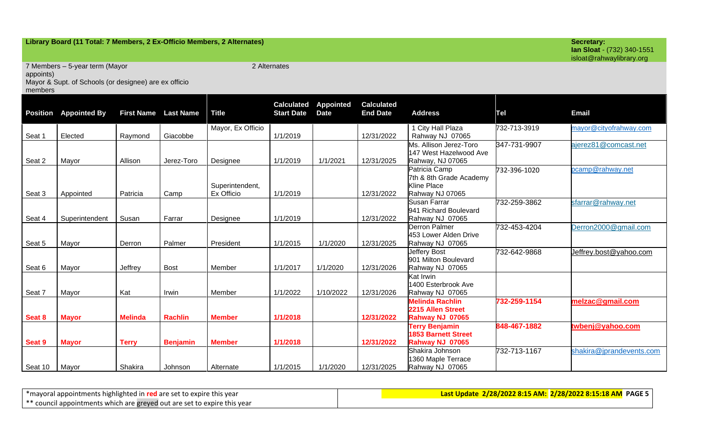### **Library Board (11 Total: 7 Members, 2 Ex-Officio Members, 2 Alternates) Secretary:**

**Ian Sloat** - (732) 340-1551 isloat@rahwaylibrary.org

7 Members – 5-year term (Mayor

2 Alternates

appoints)

Mayor & Supt. of Schools (or designee) are ex officio

members

| <b>Position</b> | <b>Appointed By</b> | <b>First Name</b> | <b>Last Name</b> | <b>Title</b>      | <b>Calculated</b><br><b>Start Date</b> | <b>Appointed</b><br><b>Date</b> | <b>Calculated</b><br><b>End Date</b> | <b>Address</b>                              | Tel          | Email                    |
|-----------------|---------------------|-------------------|------------------|-------------------|----------------------------------------|---------------------------------|--------------------------------------|---------------------------------------------|--------------|--------------------------|
|                 | Elected             |                   |                  | Mayor, Ex Officio | 1/1/2019                               |                                 | 12/31/2022                           | 1 City Hall Plaza                           | 732-713-3919 | mayor@cityofrahway.com   |
| Seat 1          |                     | Raymond           | Giacobbe         |                   |                                        |                                 |                                      | Rahway NJ 07065<br>Ms. Allison Jerez-Toro   | 347-731-9907 | ajerez81@comcast.net     |
|                 |                     |                   |                  |                   |                                        |                                 |                                      | 147 West Hazelwood Ave                      |              |                          |
| Seat 2          | Mayor               | Allison           | Jerez-Toro       | Designee          | 1/1/2019                               | 1/1/2021                        | 12/31/2025                           | Rahway, NJ 07065                            |              |                          |
|                 |                     |                   |                  |                   |                                        |                                 |                                      | Patricia Camp                               | 732-396-1020 | ocamp@rahway.net         |
|                 |                     |                   |                  |                   |                                        |                                 |                                      | 7th & 8th Grade Academy                     |              |                          |
|                 |                     |                   |                  | Superintendent,   |                                        |                                 |                                      | <b>Kline Place</b>                          |              |                          |
| Seat 3          | Appointed           | Patricia          | Camp             | Ex Officio        | 1/1/2019                               |                                 | 12/31/2022                           | Rahway NJ 07065                             |              |                          |
|                 |                     |                   |                  |                   |                                        |                                 |                                      | Susan Farrar                                | 732-259-3862 | sfarrar@rahway.net       |
|                 |                     |                   |                  |                   |                                        |                                 |                                      | 941 Richard Boulevard                       |              |                          |
| Seat 4          | Superintendent      | Susan             | Farrar           | Designee          | 1/1/2019                               |                                 | 12/31/2022                           | Rahway NJ 07065                             |              |                          |
|                 |                     |                   |                  |                   |                                        |                                 |                                      | <b>Derron Palmer</b>                        | 732-453-4204 | Derron2000@gmail.com     |
|                 |                     |                   |                  |                   |                                        |                                 |                                      | 453 Lower Alden Drive                       |              |                          |
| Seat 5          | Mayor               | Derron            | Palmer           | President         | 1/1/2015                               | 1/1/2020                        | 12/31/2025                           | Rahway NJ 07065                             |              |                          |
|                 |                     |                   |                  |                   |                                        |                                 |                                      | <b>Jeffery Bost</b><br>901 Milton Boulevard | 732-642-9868 | Jeffrey.bost@yahoo.com   |
| Seat 6          | Mayor               | Jeffrey           | <b>Bost</b>      | Member            | 1/1/2017                               | 1/1/2020                        | 12/31/2026                           | Rahway NJ 07065                             |              |                          |
|                 |                     |                   |                  |                   |                                        |                                 |                                      | Kat Irwin                                   |              |                          |
|                 |                     |                   |                  |                   |                                        |                                 |                                      | 1400 Esterbrook Ave                         |              |                          |
| Seat 7          | Mayor               | Kat               | Irwin            | Member            | 1/1/2022                               | 1/10/2022                       | 12/31/2026                           | Rahway NJ 07065                             |              |                          |
|                 |                     |                   |                  |                   |                                        |                                 |                                      | <b>Melinda Rachlin</b>                      | 732-259-1154 | melzac@gmail.com         |
|                 |                     |                   |                  |                   |                                        |                                 |                                      | 2215 Allen Street                           |              |                          |
| Seat 8          | <b>Mayor</b>        | <b>Melinda</b>    | <b>Rachlin</b>   | <b>Member</b>     | 1/1/2018                               |                                 | 12/31/2022                           | Rahway NJ 07065                             |              |                          |
|                 |                     |                   |                  |                   |                                        |                                 |                                      | <b>Terry Benjamin</b>                       | 848-467-1882 | twbenj@yahoo.com         |
|                 |                     |                   |                  |                   |                                        |                                 |                                      | <b>1853 Barnett Street</b>                  |              |                          |
| Seat 9          | <b>Mayor</b>        | <b>Terry</b>      | <b>Benjamin</b>  | <b>Member</b>     | 1/1/2018                               |                                 | 12/31/2022                           | Rahway NJ 07065                             |              |                          |
|                 |                     |                   |                  |                   |                                        |                                 |                                      | Shakira Johnson                             | 732-713-1167 | shakira@jprandevents.com |
|                 |                     |                   |                  |                   |                                        |                                 |                                      | 1360 Maple Terrace                          |              |                          |
| Seat 10         | Mayor               | Shakira           | Johnson          | Alternate         | 1/1/2015                               | 1/1/2020                        | 12/31/2025                           | Rahway NJ 07065                             |              |                          |

\*mayoral appointments highlighted in **red** are set to expire this year \*\* council appointments which are greyed out are set to expire this year **Last Update 2/28/2022 8:15 AM: 2/28/2022 8:15:18 AM PAGE 5**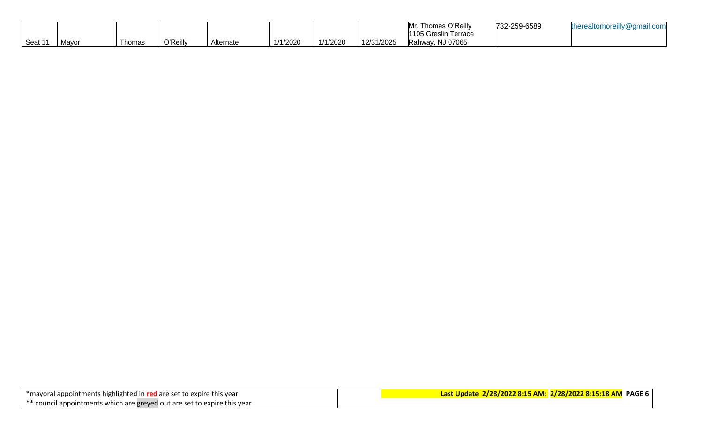|                     |       |        |          |           |          |          |            | Thomas O'Reilly<br>IMr<br>1105 Greslin Terrace | 732-259-6589 | . ealtomoreilly@gmail.com |
|---------------------|-------|--------|----------|-----------|----------|----------|------------|------------------------------------------------|--------------|---------------------------|
| I Seat <sup>1</sup> | Mavor | Thomas | つ'Reilly | Alternate | 1/1/2020 | 1/1/2020 | 12/31/2025 | Rahway, NJ 07065                               |              |                           |

| *mayoral appointments highlighted in red are set to expire this year     |  |  |
|--------------------------------------------------------------------------|--|--|
| ** council appointments which are greyed out are set to expire this year |  |  |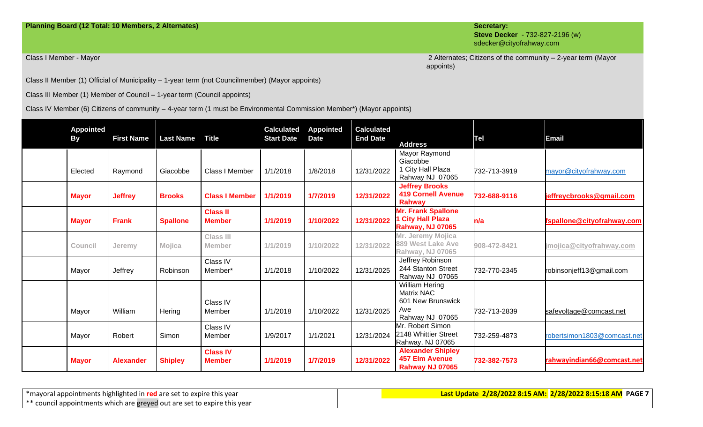### **Planning Board (12 Total: 10 Members, 2 Alternates) Secretary:**

**Steve Decker** - 732-827-2196 (w) sdecker@cityofrahway.com

Class I Member - Mayor Nation 2-year term (Mayor 2 Alternates; Citizens of the community – 2-year term (Mayor appoints)

Class II Member (1) Official of Municipality – 1-year term (not Councilmember) (Mayor appoints)

Class III Member (1) Member of Council – 1-year term (Council appoints)

Class IV Member (6) Citizens of community – 4-year term (1 must be Environmental Commission Member\*) (Mayor appoints)

| <b>Appointed</b><br><b>By</b> | <b>First Name</b> | <b>Last Name</b> | <b>Title</b>                      | <b>Calculated</b><br><b>Start Date</b> | <b>Appointed</b><br><b>Date</b> | <b>Calculated</b><br><b>End Date</b> | <b>Address</b>                                                                            | Tel          | <b>Email</b>                |
|-------------------------------|-------------------|------------------|-----------------------------------|----------------------------------------|---------------------------------|--------------------------------------|-------------------------------------------------------------------------------------------|--------------|-----------------------------|
| Elected                       | Raymond           | Giacobbe         | Class I Member                    | 1/1/2018                               | 1/8/2018                        | 12/31/2022                           | Mayor Raymond<br>Giacobbe<br>1 City Hall Plaza<br>Rahway NJ 07065                         | 732-713-3919 | mayor@cityofrahway.com      |
| <b>Mayor</b>                  | <b>Jeffrey</b>    | <b>Brooks</b>    | <b>Class I Member</b>             | 1/1/2019                               | 1/7/2019                        | 12/31/2022                           | <b>Jeffrey Brooks</b><br><b>419 Cornell Avenue</b><br><b>Rahway</b>                       | 732-688-9116 | jeffreycbrooks@gmail.com    |
| <b>Mayor</b>                  | <b>Frank</b>      | <b>Spallone</b>  | <b>Class II</b><br><b>Member</b>  | 1/1/2019                               | 1/10/2022                       | 12/31/2022                           | <b>Mr. Frank Spallone</b><br><b>City Hall Plaza</b><br><b>Rahway, NJ 07065</b>            | n/a          | fspallone@cityofrahway.com  |
| Council                       | Jeremy            | Mojica           | <b>Class III</b><br><b>Member</b> | 1/1/2019                               | 1/10/2022                       | 12/31/2022                           | Mr. Jeremy Mojica<br>889 West Lake Ave<br><b>Rahway, NJ 07065</b>                         | 908-472-8421 | jmojica@cityofrahway.com    |
| Mayor                         | Jeffrey           | Robinson         | Class IV<br>Member*               | 1/1/2018                               | 1/10/2022                       | 12/31/2025                           | Jeffrey Robinson<br>244 Stanton Street<br>Rahway NJ 07065                                 | 732-770-2345 | robinsonjeff13@gmail.com    |
| Mayor                         | William           | Hering           | Class IV<br>Member                | 1/1/2018                               | 1/10/2022                       | 12/31/2025                           | <b>William Hering</b><br><b>Matrix NAC</b><br>601 New Brunswick<br>Ave<br>Rahway NJ 07065 | 732-713-2839 | safevoltage@comcast.net     |
| Mayor                         | Robert            | Simon            | Class IV<br>Member                | 1/9/2017                               | 1/1/2021                        | 12/31/2024                           | Mr. Robert Simon<br>2148 Whittier Street<br>Rahway, NJ 07065                              | 732-259-4873 | robertsimon1803@comcast.net |
| <b>Mayor</b>                  | <b>Alexander</b>  | <b>Shipley</b>   | <b>Class IV</b><br><b>Member</b>  | 1/1/2019                               | 1/7/2019                        | 12/31/2022                           | <b>Alexander Shipley</b><br><b>457 Elm Avenue</b><br>Rahway NJ 07065                      | 732-382-7573 | rahwayindian66@comcast.net  |

\*mayoral appointments highlighted in **red** are set to expire this year \*\* council appointments which are greyed out are set to expire this year **Last Update 2/28/2022 8:15 AM: 2/28/2022 8:15:18 AM PAGE 7**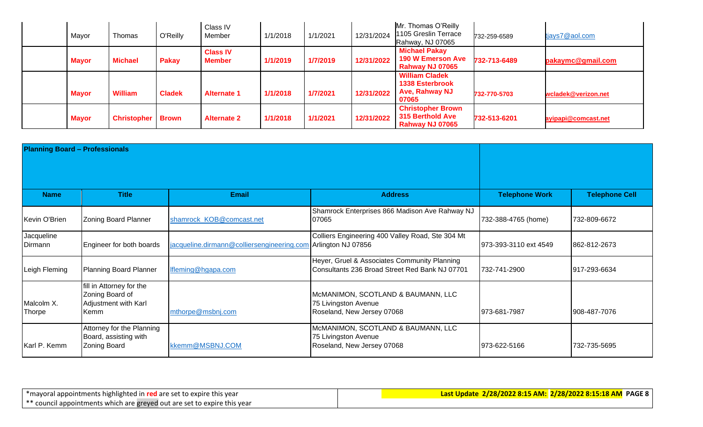| Mayor        | Thomas             | O'Reilly      | Class IV<br>Member               | 1/1/2018 | 1/1/2021 | 12/31/2024 | Mr. Thomas O'Reilly<br>1105 Greslin Terrace<br>Rahway, NJ 07065                   | 732-259-6589 | tjays7@aol.com      |
|--------------|--------------------|---------------|----------------------------------|----------|----------|------------|-----------------------------------------------------------------------------------|--------------|---------------------|
| <b>Mayor</b> | <b>Michael</b>     | <b>Pakay</b>  | <b>Class IV</b><br><b>Member</b> | 1/1/2019 | 1/7/2019 | 12/31/2022 | <b>Michael Pakay</b><br><b>190 W Emerson Ave</b><br>Rahway NJ 07065               | 732-713-6489 | pakaymc@gmail.com   |
| <b>Mayor</b> | <b>William</b>     | <b>Cladek</b> | <b>Alternate 1</b>               | 1/1/2018 | 1/7/2021 | 12/31/2022 | <b>William Cladek</b><br><b>1338 Esterbrook</b><br><b>Ave, Rahway NJ</b><br>07065 | 732-770-5703 | wcladek@verizon.net |
| <b>Mayor</b> | <b>Christopher</b> | <b>Brown</b>  | <b>Alternate 2</b>               | 1/1/2018 | 1/1/2021 | 12/31/2022 | <b>Christopher Brown</b><br>315 Berthold Ave<br>Rahway NJ 07065                   | 732-513-6201 | ayipapi@comcast.net |

| <b>Planning Board - Professionals</b> |                                                                             |                                                               |                                                                                                |                       |                       |
|---------------------------------------|-----------------------------------------------------------------------------|---------------------------------------------------------------|------------------------------------------------------------------------------------------------|-----------------------|-----------------------|
|                                       |                                                                             |                                                               |                                                                                                |                       |                       |
| <b>Name</b>                           | <b>Title</b>                                                                | <b>Email</b>                                                  | <b>Address</b>                                                                                 | <b>Telephone Work</b> | <b>Telephone Cell</b> |
| Kevin O'Brien                         | <b>Zoning Board Planner</b>                                                 | shamrock_KOB@comcast.net                                      | Shamrock Enterprises 866 Madison Ave Rahway NJ<br>07065                                        | 732-388-4765 (home)   | 732-809-6672          |
| Jacqueline<br>Dirmann                 | Engineer for both boards                                                    | jacqueline.dirmann@colliersengineering.com Arlington NJ 07856 | Colliers Engineering 400 Valley Road, Ste 304 Mt                                               | 973-393-3110 ext 4549 | 862-812-2673          |
| Leigh Fleming                         | Planning Board Planner                                                      | Ifleming@hgapa.com                                            | Heyer, Gruel & Associates Community Planning<br>Consultants 236 Broad Street Red Bank NJ 07701 | 732-741-2900          | 917-293-6634          |
| Malcolm X.<br>Thorpe                  | fill in Attorney for the<br>Zoning Board of<br>Adjustment with Karl<br>Kemm | mthorpe@msbnj.com                                             | McMANIMON, SCOTLAND & BAUMANN, LLC<br>75 Livingston Avenue<br>Roseland, New Jersey 07068       | 973-681-7987          | 908-487-7076          |
| Karl P. Kemm                          | Attorney for the Planning<br>Board, assisting with<br><b>Zoning Board</b>   | kkemm@MSBNJ.COM                                               | McMANIMON, SCOTLAND & BAUMANN, LLC<br>75 Livingston Avenue<br>Roseland, New Jersey 07068       | 973-622-5166          | 732-735-5695          |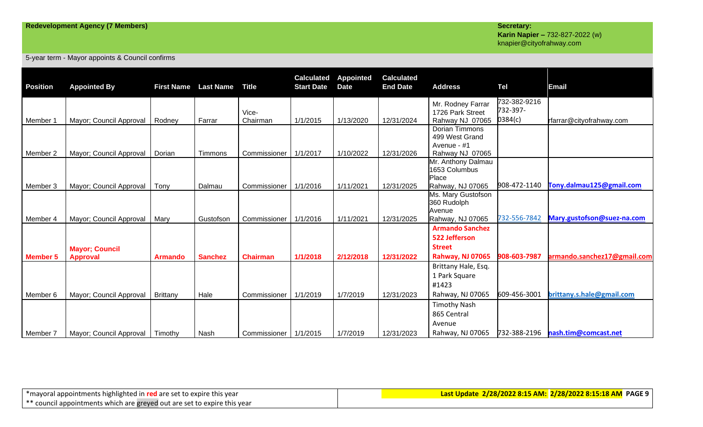# **Karin Napier –** 732-827-2022 (w) knapier@cityofrahway.com

5-year term - Mayor appoints & Council confirms

| <b>Position</b> | <b>Appointed By</b>     | <b>First Name</b> | <b>Last Name</b> | <b>Title</b>            | <b>Calculated</b><br><b>Start Date</b> | <b>Appointed</b><br><b>Date</b> | <b>Calculated</b><br><b>End Date</b> | <b>Address</b>                        | Tel                      | Email                       |
|-----------------|-------------------------|-------------------|------------------|-------------------------|----------------------------------------|---------------------------------|--------------------------------------|---------------------------------------|--------------------------|-----------------------------|
|                 |                         |                   |                  | Vice-                   |                                        |                                 |                                      | Mr. Rodney Farrar<br>1726 Park Street | 732-382-9216<br>732-397- |                             |
| Member 1        | Mayor; Council Approval | Rodney            | Farrar           | Chairman                | 1/1/2015                               | 1/13/2020                       | 12/31/2024                           | Rahway NJ 07065                       | 0384(c)                  | rfarrar@cityofrahway.com    |
|                 |                         |                   |                  |                         |                                        |                                 |                                      | Dorian Timmons<br>499 West Grand      |                          |                             |
|                 |                         |                   |                  |                         |                                        |                                 |                                      | Avenue - #1                           |                          |                             |
| Member 2        | Mayor; Council Approval | Dorian            | Timmons          | Commissioner            | 1/1/2017                               | 1/10/2022                       | 12/31/2026                           | Rahway NJ 07065                       |                          |                             |
|                 |                         |                   |                  |                         |                                        |                                 |                                      | Mr. Anthony Dalmau<br>1653 Columbus   |                          |                             |
|                 |                         |                   |                  |                         |                                        |                                 |                                      | Place                                 |                          |                             |
| Member 3        | Mayor; Council Approval | Tony              | Dalmau           | Commissioner            | 1/1/2016                               | 1/11/2021                       | 12/31/2025                           | Rahway, NJ 07065                      | 908-472-1140             | Tony.dalmau125@gmail.com    |
|                 |                         |                   |                  |                         |                                        |                                 |                                      | Ms. Mary Gustofson                    |                          |                             |
|                 |                         |                   |                  |                         |                                        |                                 |                                      | 360 Rudolph                           |                          |                             |
| Member 4        | Mayor; Council Approval | Mary              | Gustofson        | Commissioner   1/1/2016 |                                        | 1/11/2021                       | 12/31/2025                           | Avenue<br>Rahway, NJ 07065            | 732-556-7842             | Mary.gustofson@suez-na.com  |
|                 |                         |                   |                  |                         |                                        |                                 |                                      | <b>Armando Sanchez</b>                |                          |                             |
|                 |                         |                   |                  |                         |                                        |                                 |                                      | 522 Jefferson                         |                          |                             |
|                 | <b>Mayor; Council</b>   |                   |                  |                         |                                        |                                 |                                      | <b>Street</b>                         |                          |                             |
| <b>Member 5</b> | <b>Approval</b>         | <b>Armando</b>    | <b>Sanchez</b>   | <b>Chairman</b>         | 1/1/2018                               | 2/12/2018                       | 12/31/2022                           | Rahway, NJ 07065                      | 908-603-7987             | armando.sanchez17@gmail.com |
|                 |                         |                   |                  |                         |                                        |                                 |                                      | Brittany Hale, Esq.                   |                          |                             |
|                 |                         |                   |                  |                         |                                        |                                 |                                      | 1 Park Square                         |                          |                             |
|                 |                         |                   |                  |                         |                                        |                                 |                                      | #1423                                 |                          |                             |
| Member 6        | Mayor; Council Approval | <b>Brittany</b>   | Hale             | Commissioner   1/1/2019 |                                        | 1/7/2019                        | 12/31/2023                           | Rahway, NJ 07065                      | 609-456-3001             | brittany.s.hale@gmail.com   |
|                 |                         |                   |                  |                         |                                        |                                 |                                      | <b>Timothy Nash</b>                   |                          |                             |
|                 |                         |                   |                  |                         |                                        |                                 |                                      | 865 Central                           |                          |                             |
|                 |                         |                   |                  |                         |                                        |                                 |                                      | Avenue                                |                          |                             |
| Member 7        | Mayor; Council Approval | Timothy           | Nash             | Commissioner   1/1/2015 |                                        | 1/7/2019                        | 12/31/2023                           | Rahway, NJ 07065                      | 732-388-2196             | nash.tim@comcast.net        |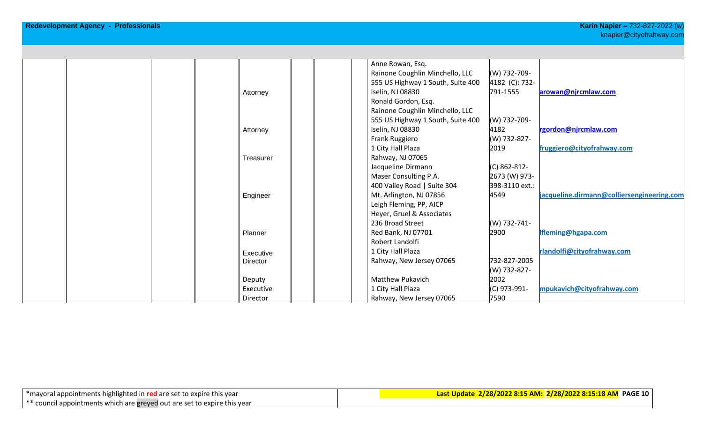|  |           | Anne Rowan, Esq.                  |                |                                            |
|--|-----------|-----------------------------------|----------------|--------------------------------------------|
|  |           | Rainone Coughlin Minchello, LLC   | (W) 732-709-   |                                            |
|  |           | 555 US Highway 1 South, Suite 400 | 4182 (C): 732- |                                            |
|  | Attorney  | Iselin, NJ 08830                  | 791-1555       | arowan@njrcmlaw.com                        |
|  |           | Ronald Gordon, Esq.               |                |                                            |
|  |           | Rainone Coughlin Minchello, LLC   |                |                                            |
|  |           | 555 US Highway 1 South, Suite 400 | (W) 732-709-   |                                            |
|  | Attorney  | Iselin, NJ 08830                  | 4182           | rgordon@njrcmlaw.com                       |
|  |           | Frank Ruggiero                    | (W) 732-827-   |                                            |
|  |           | 1 City Hall Plaza                 | 2019           | fruggiero@cityofrahway.com                 |
|  | Treasurer | Rahway, NJ 07065                  |                |                                            |
|  |           | Jacqueline Dirmann                | (C) 862-812-   |                                            |
|  |           | Maser Consulting P.A.             | 2673 (W) 973-  |                                            |
|  |           | 400 Valley Road   Suite 304       | 398-3110 ext.: |                                            |
|  | Engineer  | Mt. Arlington, NJ 07856           | 4549           | jacqueline.dirmann@colliersengineering.com |
|  |           | Leigh Fleming, PP, AICP           |                |                                            |
|  |           | Heyer, Gruel & Associates         |                |                                            |
|  |           | 236 Broad Street                  | (W) 732-741-   |                                            |
|  | Planner   | Red Bank, NJ 07701                | 2900           | Ifleming@hgapa.com                         |
|  |           | Robert Landolfi                   |                |                                            |
|  | Executive | 1 City Hall Plaza                 |                | rlandolfi@cityofrahway.com                 |
|  | Director  | Rahway, New Jersey 07065          | 732-827-2005   |                                            |
|  |           |                                   | (W) 732-827-   |                                            |
|  | Deputy    | <b>Matthew Pukavich</b>           | 2002           |                                            |
|  | Executive | 1 City Hall Plaza                 | (C) 973-991-   | mpukavich@cityofrahway.com                 |
|  | Director  | Rahway, New Jersey 07065          | 7590           |                                            |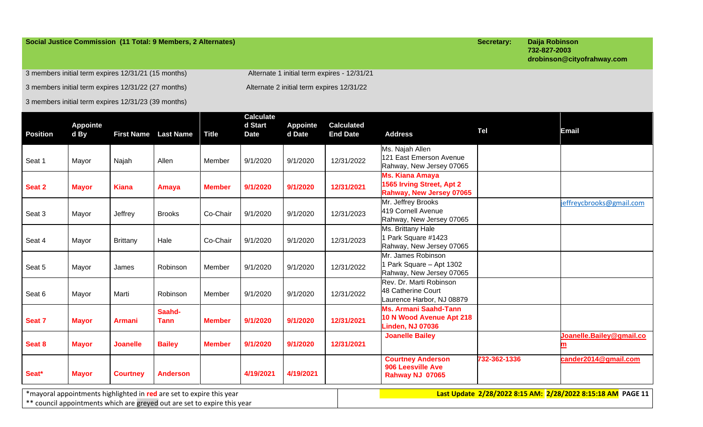### **Social Justice Commission (11 Total: 9 Members, 2 Alternates) Secretary: Daija Robinson**

**732-827-2003 drobinson@cityofrahway.com**

3 members initial term expires 12/31/21 (15 months) Alternate 1 initial term expires - 12/31/21 3 members initial term expires 12/31/22 (27 months) Alternate 2 initial term expires 12/31/22

3 members initial term expires 12/31/23 (39 months)

| <b>Position</b> | <b>Appointe</b><br>d By |                 | <b>First Name</b> Last Name                                                                                                                      | <b>Title</b>  | <b>Calculate</b><br>d Start<br><b>Date</b> | <b>Appointe</b><br>d Date | <b>Calculated</b><br><b>End Date</b> | <b>Address</b>                                                                      | <b>Tel</b>   | <b>Email</b>                                                |
|-----------------|-------------------------|-----------------|--------------------------------------------------------------------------------------------------------------------------------------------------|---------------|--------------------------------------------|---------------------------|--------------------------------------|-------------------------------------------------------------------------------------|--------------|-------------------------------------------------------------|
| Seat 1          | Mayor                   | Najah           | Allen                                                                                                                                            | Member        | 9/1/2020                                   | 9/1/2020                  | 12/31/2022                           | Ms. Najah Allen<br>121 East Emerson Avenue<br>Rahway, New Jersey 07065              |              |                                                             |
| Seat 2          | <b>Mayor</b>            | <b>Kiana</b>    | Amaya                                                                                                                                            | <b>Member</b> | 9/1/2020                                   | 9/1/2020                  | 12/31/2021                           | Ms. Kiana Amaya<br>1565 Irving Street, Apt 2<br>Rahway, New Jersey 07065            |              |                                                             |
| Seat 3          | Mayor                   | Jeffrey         | <b>Brooks</b>                                                                                                                                    | Co-Chair      | 9/1/2020                                   | 9/1/2020                  | 12/31/2023                           | Mr. Jeffrey Brooks<br>419 Cornell Avenue<br>Rahway, New Jersey 07065                |              | jeffreycbrooks@gmail.com                                    |
| Seat 4          | Mayor                   | <b>Brittany</b> | Hale                                                                                                                                             | Co-Chair      | 9/1/2020                                   | 9/1/2020                  | 12/31/2023                           | Ms. Brittany Hale<br>1 Park Square #1423<br>Rahway, New Jersey 07065                |              |                                                             |
| Seat 5          | Mayor                   | James           | Robinson                                                                                                                                         | Member        | 9/1/2020                                   | 9/1/2020                  | 12/31/2022                           | Mr. James Robinson<br>1 Park Square - Apt 1302<br>Rahway, New Jersey 07065          |              |                                                             |
| Seat 6          | Mayor                   | Marti           | Robinson                                                                                                                                         | Member        | 9/1/2020                                   | 9/1/2020                  | 12/31/2022                           | Rev. Dr. Marti Robinson<br>48 Catherine Court<br>Laurence Harbor, NJ 08879          |              |                                                             |
| Seat 7          | <b>Mayor</b>            | <b>Armani</b>   | Saahd-<br><b>Tann</b>                                                                                                                            | <b>Member</b> | 9/1/2020                                   | 9/1/2020                  | 12/31/2021                           | <b>Ms. Armani Saahd-Tann</b><br>10 N Wood Avenue Apt 218<br><b>Linden, NJ 07036</b> |              |                                                             |
| Seat 8          | <b>Mayor</b>            | <b>Joanelle</b> | <b>Bailey</b>                                                                                                                                    | <b>Member</b> | 9/1/2020                                   | 9/1/2020                  | 12/31/2021                           | <b>Joanelle Bailey</b>                                                              |              | Joanelle.Bailey@gmail.co                                    |
| Seat*           | <b>Mayor</b>            | <b>Courtney</b> | <b>Anderson</b>                                                                                                                                  |               | 4/19/2021                                  | 4/19/2021                 |                                      | <b>Courtney Anderson</b><br>906 Leesville Ave<br>Rahway NJ 07065                    | 732-362-1336 | cander2014@gmail.com                                        |
|                 |                         |                 | *mayoral appointments highlighted in red are set to expire this year<br>** council appointments which are greyed out are set to expire this year |               |                                            |                           |                                      |                                                                                     |              | Last Update 2/28/2022 8:15 AM: 2/28/2022 8:15:18 AM PAGE 11 |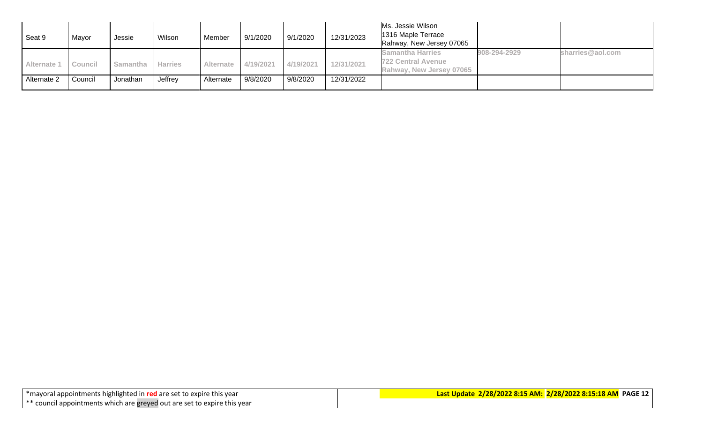| Seat 9                | Mayor   | Jessie   | Wilson         | Member           | 9/1/2020  | 9/1/2020  | 12/31/2023 | Ms. Jessie Wilson<br>1316 Maple Terrace<br>Rahway, New Jersey 07065              |              |                  |
|-----------------------|---------|----------|----------------|------------------|-----------|-----------|------------|----------------------------------------------------------------------------------|--------------|------------------|
| Alternate 1   Council |         | Samantha | <b>Harries</b> | <b>Alternate</b> | 4/19/2021 | 4/19/2021 | 12/31/2021 | <b>Samantha Harries</b><br><b>722 Central Avenue</b><br>Rahway, New Jersey 07065 | 908-294-2929 | sharries@aol.com |
| Alternate 2           | Council | Jonathan | Jeffrey        | Alternate        | 9/8/2020  | 9/8/2020  | 12/31/2022 |                                                                                  |              |                  |

| *mayoral appointments highlighted in red are set to expire this year |                                                                          |
|----------------------------------------------------------------------|--------------------------------------------------------------------------|
|                                                                      | ** council appointments which are greyed out are set to expire this year |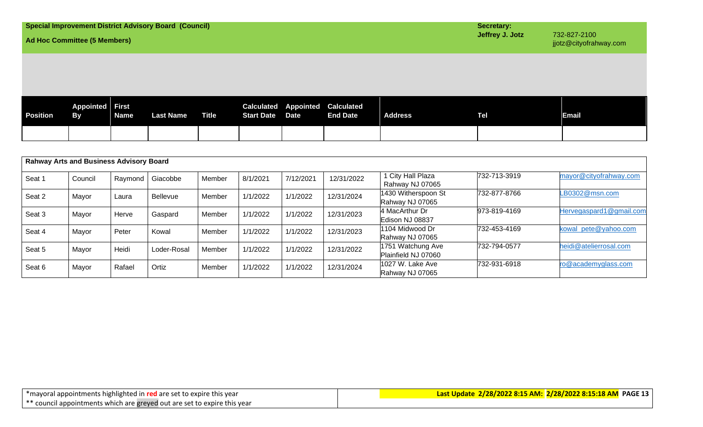| <b>Ad Hoc Committee (5 Members)</b>                                                                                                                                                                                |  |  | <b>Special Improvement District Advisory Board (Council)</b> |  |  |  |  |  | Secretary:<br>Jeffrey J. Jotz | 732-827-2100<br>jjotz@cityofrahway.com |
|--------------------------------------------------------------------------------------------------------------------------------------------------------------------------------------------------------------------|--|--|--------------------------------------------------------------|--|--|--|--|--|-------------------------------|----------------------------------------|
|                                                                                                                                                                                                                    |  |  |                                                              |  |  |  |  |  |                               |                                        |
| <b>Appointed First</b><br><b>Calculated Appointed Calculated</b><br><b>Address</b><br><b>Position</b><br><b>Name</b><br><b>Last Name</b><br><b>Title</b><br><b>By</b><br><b>Start Date Date</b><br><b>End Date</b> |  |  |                                                              |  |  |  |  |  | <b>Tel</b>                    | <b>Email</b>                           |
|                                                                                                                                                                                                                    |  |  |                                                              |  |  |  |  |  |                               |                                        |

|        | <b>Rahway Arts and Business Advisory Board</b> |         |                 |        |          |           |            |                                          |              |                         |  |  |
|--------|------------------------------------------------|---------|-----------------|--------|----------|-----------|------------|------------------------------------------|--------------|-------------------------|--|--|
| Seat 1 | Council                                        | Raymond | Giacobbe        | Member | 8/1/2021 | 7/12/2021 | 12/31/2022 | 1 City Hall Plaza<br>Rahway NJ 07065     | 732-713-3919 | mayor@cityofrahway.com  |  |  |
| Seat 2 | Mayor                                          | Laura   | <b>Bellevue</b> | Member | 1/1/2022 | 1/1/2022  | 12/31/2024 | 1430 Witherspoon St<br>Rahway NJ 07065   | 732-877-8766 | LB0302@msn.com          |  |  |
| Seat 3 | Mayor                                          | Herve   | Gaspard         | Member | 1/1/2022 | 1/1/2022  | 12/31/2023 | 4 MacArthur Dr<br>Edison NJ 08837        | 973-819-4169 | Hervegaspard1@gmail.com |  |  |
| Seat 4 | Mayor                                          | Peter   | Kowal           | Member | 1/1/2022 | 1/1/2022  | 12/31/2023 | 1104 Midwood Dr<br>Rahway NJ 07065       | 732-453-4169 | kowal_pete@yahoo.com    |  |  |
| Seat 5 | Mayor                                          | Heidi   | Loder-Rosal     | Member | 1/1/2022 | 1/1/2022  | 12/31/2022 | 1751 Watchung Ave<br>Plainfield NJ 07060 | 732-794-0577 | heidi@atelierrosal.com  |  |  |
| Seat 6 | Mayor                                          | Rafael  | Ortiz           | Member | 1/1/2022 | 1/1/2022  | 12/31/2024 | 1027 W. Lake Ave<br>Rahway NJ 07065      | 732-931-6918 | ro@academyglass.com     |  |  |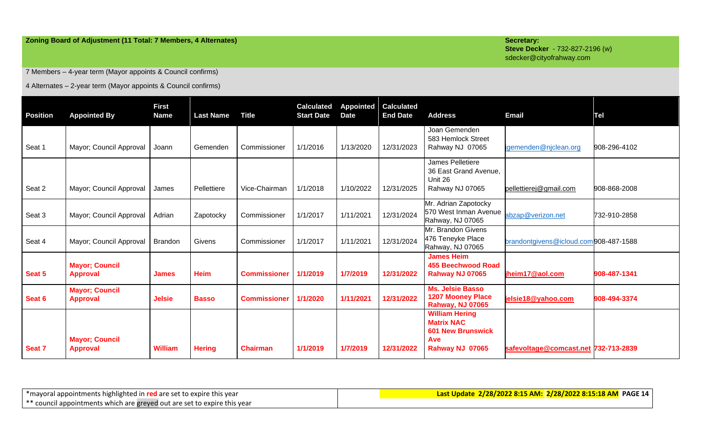### **Zoning Board of Adjustment (11 Total: 7 Members, 4 Alternates) Secretary: Secretary: Secretary: Secretary:**

**Steve Decker** - 732-827-2196 (w) sdecker@cityofrahway.com

7 Members – 4-year term (Mayor appoints & Council confirms)

4 Alternates – 2-year term (Mayor appoints & Council confirms)

| <b>Position</b> | <b>Appointed By</b>                      | <b>First</b><br><b>Name</b> | <b>Last Name</b> | <b>Title</b>        | <b>Calculated</b><br><b>Start Date</b> | <b>Appointed</b><br><b>Date</b> | <b>Calculated</b><br><b>End Date</b> | <b>Address</b>                                                                                          | <b>Email</b>                          | Tel          |
|-----------------|------------------------------------------|-----------------------------|------------------|---------------------|----------------------------------------|---------------------------------|--------------------------------------|---------------------------------------------------------------------------------------------------------|---------------------------------------|--------------|
| Seat 1          | Mayor; Council Approval                  | Joann                       | Gemenden         | Commissioner        | 1/1/2016                               | 1/13/2020                       | 12/31/2023                           | Joan Gemenden<br>583 Hemlock Street<br>Rahway NJ 07065                                                  | igemenden@njclean.org                 | 908-296-4102 |
| Seat 2          | Mayor; Council Approval                  | James                       | Pellettiere      | Vice-Chairman       | 1/1/2018                               | 1/10/2022                       | 12/31/2025                           | James Pelletiere<br>36 East Grand Avenue,<br>Unit 26<br>Rahway NJ 07065                                 | pellettierej@gmail.com                | 908-868-2008 |
| Seat 3          | Mayor; Council Approval                  | Adrian                      | Zapotocky        | Commissioner        | 1/1/2017                               | 1/11/2021                       | 12/31/2024                           | Mr. Adrian Zapotocky<br>570 West Inman Avenue<br>Rahway, NJ 07065                                       | abzap@verizon.net                     | 732-910-2858 |
| Seat 4          | Mayor; Council Approval                  | <b>Brandon</b>              | Givens           | Commissioner        | 1/1/2017                               | 1/11/2021                       | 12/31/2024                           | Mr. Brandon Givens<br>476 Teneyke Place<br>Rahway, NJ 07065                                             | brandontgivens@icloud.com908-487-1588 |              |
| Seat 5          | <b>Mayor; Council</b><br><b>Approval</b> | <b>James</b>                | <b>Heim</b>      | <b>Commissioner</b> | 1/1/2019                               | 1/7/2019                        | 12/31/2022                           | <b>James Heim</b><br><b>455 Beechwood Road</b><br>Rahway NJ 07065                                       | jheim17@aol.com                       | 908-487-1341 |
| Seat 6          | <b>Mayor; Council</b><br><b>Approval</b> | <b>Jelsie</b>               | <b>Basso</b>     | <b>Commissioner</b> | 1/1/2020                               | 1/11/2021                       | 12/31/2022                           | Ms. Jelsie Basso<br><b>1207 Mooney Place</b><br><b>Rahway, NJ 07065</b>                                 | jelsie18@yahoo.com                    | 908-494-3374 |
| Seat 7          | <b>Mayor; Council</b><br><b>Approval</b> | William                     | <b>Hering</b>    | <b>Chairman</b>     | 1/1/2019                               | 1/7/2019                        | 12/31/2022                           | <b>William Hering</b><br><b>Matrix NAC</b><br><b>601 New Brunswick</b><br><b>Ave</b><br>Rahway NJ 07065 | safevoltage@comcast.net 732-713-2839  |              |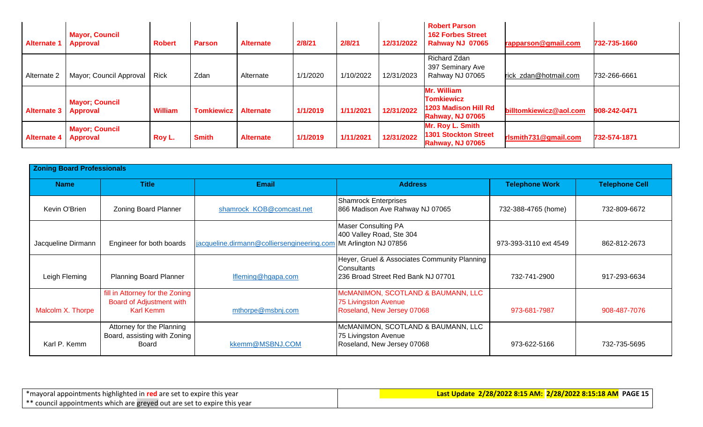| Alternate   | <b>Mayor, Council</b><br><b>Approval</b> | <b>Robert</b>  | <b>Parson</b>               | <b>Alternate</b> | 2/8/21   | 2/8/21    | 12/31/2022 | <b>Robert Parson</b><br><b>162 Forbes Street</b><br>Rahway NJ 07065                 | rapparson@gmail.com    | 732-735-1660 |
|-------------|------------------------------------------|----------------|-----------------------------|------------------|----------|-----------|------------|-------------------------------------------------------------------------------------|------------------------|--------------|
| Alternate 2 | Mayor; Council Approval                  | Rick           | Zdan                        | Alternate        | 1/1/2020 | 1/10/2022 | 12/31/2023 | Richard Zdan<br>397 Seminary Ave<br>Rahway NJ 07065                                 | rick zdan@hotmail.com  | 732-266-6661 |
| Alternate 3 | <b>Mayor; Council</b><br><b>Approval</b> | <b>William</b> | <b>Tomkiewicz Alternate</b> |                  | 1/1/2019 | 1/11/2021 | 12/31/2022 | Mr. William<br><b>Tomkiewicz</b><br>1203 Madison Hill Rd<br><b>Rahway, NJ 07065</b> | billtomkiewicz@aol.com | 908-242-0471 |
| Alternate 4 | <b>Mayor; Council</b><br><b>Approval</b> | Roy L.         | <b>Smith</b>                | <b>Alternate</b> | 1/1/2019 | 1/11/2021 | 12/31/2022 | Mr. Roy L. Smith<br><b>1301 Stockton Street</b><br><b>Rahway, NJ 07065</b>          | rlsmith731@gmail.com   | 732-574-1871 |

| <b>Zoning Board Professionals</b> |                                                                          |                                            |                                                                                                          |                       |                       |
|-----------------------------------|--------------------------------------------------------------------------|--------------------------------------------|----------------------------------------------------------------------------------------------------------|-----------------------|-----------------------|
| <b>Name</b>                       | <b>Title</b>                                                             | Email                                      | <b>Address</b>                                                                                           | <b>Telephone Work</b> | <b>Telephone Cell</b> |
| Kevin O'Brien                     | <b>Zoning Board Planner</b>                                              | shamrock KOB@comcast.net                   | <b>Shamrock Enterprises</b><br>866 Madison Ave Rahway NJ 07065                                           | 732-388-4765 (home)   | 732-809-6672          |
| Jacqueline Dirmann                | Engineer for both boards                                                 | jacqueline.dirmann@colliersengineering.com | <b>Maser Consulting PA</b><br>400 Valley Road, Ste 304<br>Mt Arlington NJ 07856                          | 973-393-3110 ext 4549 | 862-812-2673          |
| Leigh Fleming                     | <b>Planning Board Planner</b>                                            | Ifleming@hgapa.com                         | Heyer, Gruel & Associates Community Planning<br><b>Consultants</b><br>236 Broad Street Red Bank NJ 07701 | 732-741-2900          | 917-293-6634          |
| Malcolm X. Thorpe                 | fill in Attorney for the Zoning<br>Board of Adjustment with<br>Karl Kemm | mthorpe@msbnj.com                          | McMANIMON, SCOTLAND & BAUMANN, LLC<br>75 Livingston Avenue<br>Roseland, New Jersey 07068                 | 973-681-7987          | 908-487-7076          |
| Karl P. Kemm                      | Attorney for the Planning<br>Board, assisting with Zoning<br>Board       | kkemm@MSBNJ.COM                            | McMANIMON, SCOTLAND & BAUMANN, LLC<br>75 Livingston Avenue<br>Roseland, New Jersey 07068                 | 973-622-5166          | 732-735-5695          |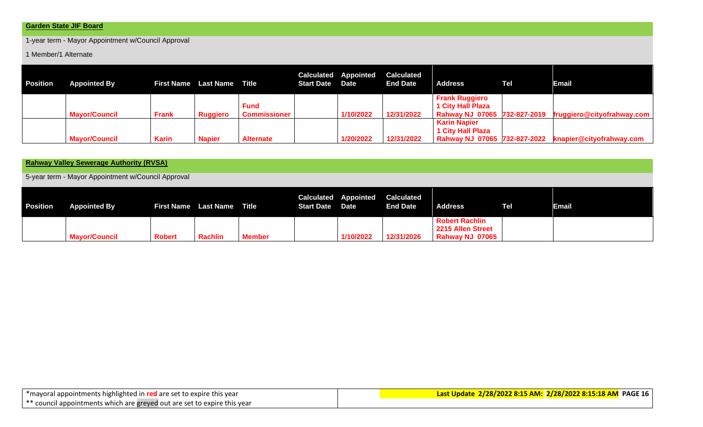1-year term - Mayor Appointment w/Council Approval

1 Member/1 Alternate

| <b>Position</b> | <b>Appointed By</b>  |              | <b>First Name</b> Last Name Title |                             | <b>Start Date Date</b> | <b>Calculated Appointed</b> | <b>Calculated</b><br><b>End Date</b> | <b>Address</b>                                                                    | Tel | <b>Email</b>               |
|-----------------|----------------------|--------------|-----------------------------------|-----------------------------|------------------------|-----------------------------|--------------------------------------|-----------------------------------------------------------------------------------|-----|----------------------------|
|                 | <b>Mayor/Council</b> | <b>Frank</b> | <b>Ruggiero</b>                   | Fund<br><b>Commissioner</b> |                        | 1/10/2022                   | 12/31/2022                           | <b>Frank Ruggiero</b><br><b>1 City Hall Plaza</b><br>Rahway NJ 07065 732-827-2019 |     | fruggiero@cityofrahway.com |
|                 | <b>Mayor/Council</b> | <b>Karin</b> | <b>Napier</b>                     | <b>Alternate</b>            |                        | 1/20/2022                   | 12/31/2022                           | <b>Karin Napier</b><br><b>1 City Hall Plaza</b><br>Rahway NJ 07065 732-827-2022   |     | knapier@cityofrahway.com   |

**Rahway Valley Sewerage Authority (RVSA)**

5-year term - Mayor Appointment w/Council Approval

| <b>Position</b> | <b>Appointed By</b>  |        | <b>First Name</b> Last Name Title |               | <b>Start Date Date</b> | <b>Calculated Appointed</b> | <b>Calculated</b><br><b>End Date</b> | <b>Address</b>                                                       | Tel | Email |
|-----------------|----------------------|--------|-----------------------------------|---------------|------------------------|-----------------------------|--------------------------------------|----------------------------------------------------------------------|-----|-------|
|                 | <b>Mayor/Council</b> | Robert | <b>Rachlin</b>                    | <b>Member</b> |                        | 1/10/2022                   | 12/31/2026                           | <b>Robert Rachlin</b><br>2215 Allen Street<br><b>Rahway NJ 07065</b> |     |       |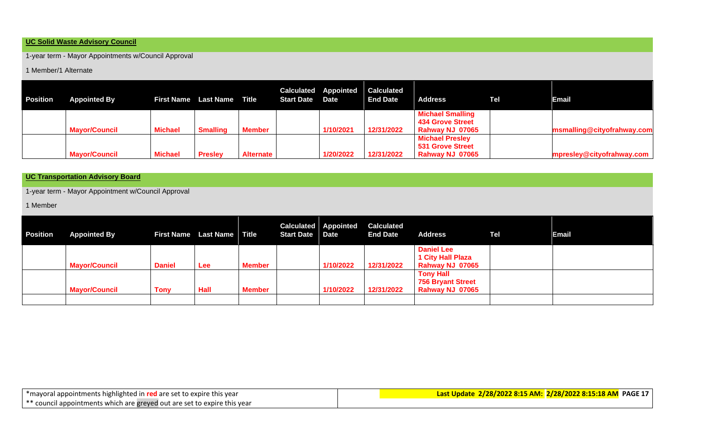#### **UC Solid Waste Advisory Council**

1-year term - Mayor Appointments w/Council Approval

1 Member/1 Alternate

| <b>Position</b> | <b>Appointed By</b>  |                | <b>First Name</b> Last Name Title |                  | <b>Start Date Date</b> | <b>Calculated Appointed</b> | <b>Calculated</b><br><b>End Date</b> | <b>Address</b>                                                        | Tel | Email                      |
|-----------------|----------------------|----------------|-----------------------------------|------------------|------------------------|-----------------------------|--------------------------------------|-----------------------------------------------------------------------|-----|----------------------------|
|                 | <b>Mayor/Council</b> | <b>Michael</b> | <b>Smalling</b>                   | <b>Member</b>    |                        | 1/10/2021                   | 12/31/2022                           | <b>Michael Smalling</b><br><b>434 Grove Street</b><br>Rahway NJ 07065 |     | msmalling@cityofrahway.com |
|                 | <b>Mayor/Council</b> | <b>Michael</b> | <b>Presley</b>                    | <b>Alternate</b> |                        | 1/20/2022                   | 12/31/2022                           | <b>Michael Presley</b><br><b>531 Grove Street</b><br>Rahway NJ 07065  |     | mpresley@cityofrahway.com  |

## **UC Transportation Advisory Board**

1-year term - Mayor Appointment w/Council Approval

1 Member

| <b>Position</b> | <b>Appointed By</b>  |               | <b>First Name</b> Last Name Title |               | <b>Start Date Date</b> | <b>Calculated Appointed</b> | <b>Calculated</b><br><b>End Date</b> | <b>Address</b>                                                   | Tel | <b>Email</b> |
|-----------------|----------------------|---------------|-----------------------------------|---------------|------------------------|-----------------------------|--------------------------------------|------------------------------------------------------------------|-----|--------------|
|                 | <b>Mayor/Council</b> | <b>Daniel</b> | Lee                               | <b>Member</b> |                        | 1/10/2022                   | 12/31/2022                           | <b>Daniel Lee</b><br><b>1 City Hall Plaza</b><br>Rahway NJ 07065 |     |              |
|                 | <b>Mayor/Council</b> | <b>Tony</b>   | Hall                              | <b>Member</b> |                        | 1/10/2022                   | 12/31/2022                           | <b>Tony Hall</b><br><b>756 Bryant Street</b><br>Rahway NJ 07065  |     |              |
|                 |                      |               |                                   |               |                        |                             |                                      |                                                                  |     |              |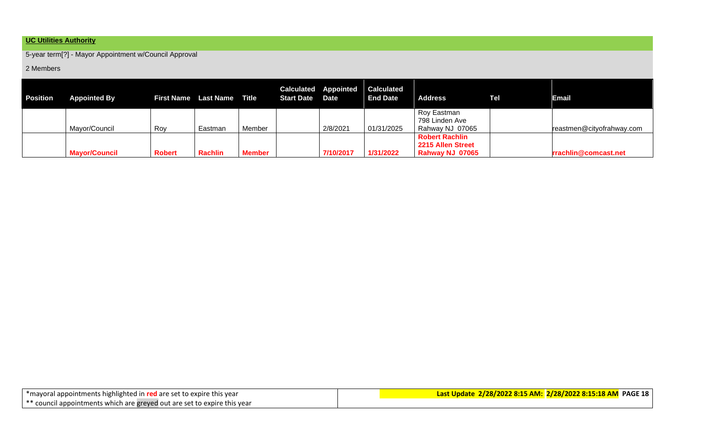# **UC Utilities Authority**

5-year term[?] - Mayor Appointment w/Council Approval

#### 2 Members

| Position | <b>Appointed By</b>  |               | First Name Last Name Title |               | Start Date Date | <b>Calculated Appointed</b> | <b>Calculated</b><br><b>End Date</b> | <b>Address</b>                                                | <b>Tel</b> | Email                     |
|----------|----------------------|---------------|----------------------------|---------------|-----------------|-----------------------------|--------------------------------------|---------------------------------------------------------------|------------|---------------------------|
|          | Mayor/Council        | Roy           | Eastman                    | Member        |                 | 2/8/2021                    | 01/31/2025                           | Roy Eastman<br>798 Linden Ave<br>Rahway NJ 07065              |            | reastmen@cityofrahway.com |
|          | <b>Mayor/Council</b> | <b>Robert</b> | <b>Rachlin</b>             | <b>Member</b> |                 | 7/10/2017                   | 1/31/2022                            | <b>Robert Rachlin</b><br>2215 Allen Street<br>Rahway NJ 07065 |            | rrachlin@comcast.net      |

| *mayoral appointments highlighted in red are set to expire this year     |  |  |  |  |  |  |  |
|--------------------------------------------------------------------------|--|--|--|--|--|--|--|
| ** council appointments which are greyed out are set to expire this year |  |  |  |  |  |  |  |